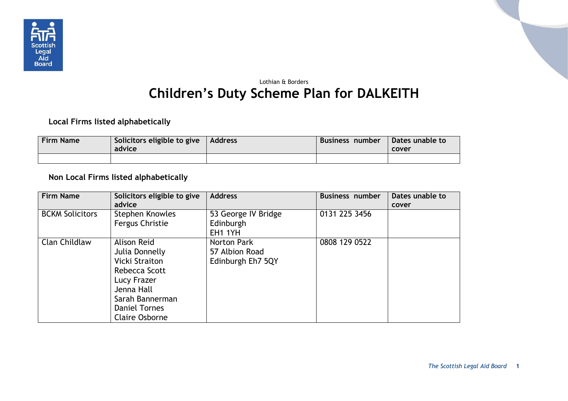

## Lothian & Borders **Children's Duty Scheme Plan for DALKEITH**

## **Local Firms listed alphabetically**

| <b>Firm Name</b> | Solicitors eligible to give $\vert$ Address<br>advice | Business number | Dates unable to<br>cover |
|------------------|-------------------------------------------------------|-----------------|--------------------------|
|                  |                                                       |                 |                          |

## **Non Local Firms listed alphabetically**

| <b>Firm Name</b>       | Solicitors eligible to give<br>advice                                                                                                                             | <b>Address</b>                                     | <b>Business number</b> | Dates unable to<br>cover |
|------------------------|-------------------------------------------------------------------------------------------------------------------------------------------------------------------|----------------------------------------------------|------------------------|--------------------------|
| <b>BCKM Solicitors</b> | Stephen Knowles<br>Fergus Christie                                                                                                                                | 53 George IV Bridge<br>Edinburgh<br><b>EH1 1YH</b> | 0131 225 3456          |                          |
| Clan Childlaw          | Alison Reid<br>Julia Donnelly<br>Vicki Straiton<br>Rebecca Scott<br>Lucy Frazer<br>Jenna Hall<br>Sarah Bannerman<br><b>Daniel Tornes</b><br><b>Claire Osborne</b> | Norton Park<br>57 Albion Road<br>Edinburgh Eh7 5QY | 0808 129 0522          |                          |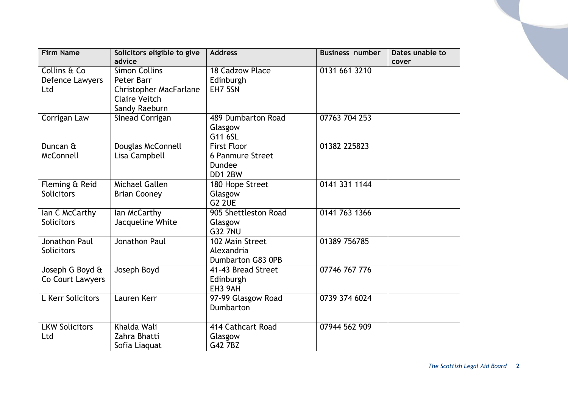| <b>Firm Name</b>      | Solicitors eligible to give   | <b>Address</b>           | <b>Business number</b> | Dates unable to |
|-----------------------|-------------------------------|--------------------------|------------------------|-----------------|
|                       | advice                        |                          |                        | cover           |
| Collins & Co          | <b>Simon Collins</b>          | 18 Cadzow Place          | 0131 661 3210          |                 |
| Defence Lawyers       | Peter Barr                    | Edinburgh                |                        |                 |
| Ltd                   | <b>Christopher MacFarlane</b> | EH7 5SN                  |                        |                 |
|                       | <b>Claire Veitch</b>          |                          |                        |                 |
|                       | Sandy Raeburn                 |                          |                        |                 |
| Corrigan Law          | Sinead Corrigan               | 489 Dumbarton Road       | 07763 704 253          |                 |
|                       |                               | Glasgow                  |                        |                 |
|                       |                               | G11 6SL                  |                        |                 |
| Duncan &              | Douglas McConnell             | <b>First Floor</b>       | 01382 225823           |                 |
| McConnell             | Lisa Campbell                 | <b>6 Panmure Street</b>  |                        |                 |
|                       |                               | Dundee                   |                        |                 |
|                       |                               | DD1 2BW                  |                        |                 |
| Fleming & Reid        | <b>Michael Gallen</b>         | 180 Hope Street          | 0141 331 1144          |                 |
| <b>Solicitors</b>     | <b>Brian Cooney</b>           | Glasgow                  |                        |                 |
|                       |                               | <b>G2 2UE</b>            |                        |                 |
| lan C McCarthy        | lan McCarthy                  | 905 Shettleston Road     | 0141 763 1366          |                 |
| <b>Solicitors</b>     | Jacqueline White              | Glasgow                  |                        |                 |
|                       |                               | <b>G32 7NU</b>           |                        |                 |
| <b>Jonathon Paul</b>  | Jonathon Paul                 | 102 Main Street          | 01389 756785           |                 |
| <b>Solicitors</b>     |                               | Alexandria               |                        |                 |
|                       |                               | <b>Dumbarton G83 OPB</b> |                        |                 |
| Joseph G Boyd &       | Joseph Boyd                   | 41-43 Bread Street       | 07746 767 776          |                 |
| Co Court Lawyers      |                               | Edinburgh                |                        |                 |
|                       |                               | EH3 9AH                  |                        |                 |
| L Kerr Solicitors     | Lauren Kerr                   | 97-99 Glasgow Road       | 0739 374 6024          |                 |
|                       |                               | Dumbarton                |                        |                 |
|                       |                               |                          |                        |                 |
| <b>LKW Solicitors</b> | Khalda Wali                   | 414 Cathcart Road        | 07944 562 909          |                 |
| Ltd                   | Zahra Bhatti                  | Glasgow                  |                        |                 |
|                       | Sofia Liaquat                 | G42 7BZ                  |                        |                 |